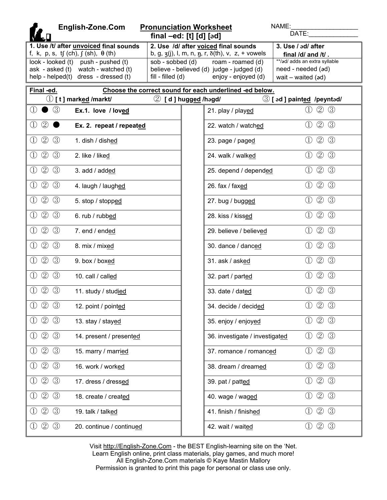| English-Zone.Com                                                                                                   |                                           | <b>Pronunciation Worksheet</b><br>final $-ed$ : [t] $[d]$ $[ed]$                                                                                         | NAME:<br>DATE:                                                                                  |  |  |  |  |  |  |
|--------------------------------------------------------------------------------------------------------------------|-------------------------------------------|----------------------------------------------------------------------------------------------------------------------------------------------------------|-------------------------------------------------------------------------------------------------|--|--|--|--|--|--|
| 1. Use /t/ after unvoiced final sounds<br>f, k, p, s, tf (ch), $f$ (sh), $\theta$ (th)                             |                                           | 2. Use /d/ after voiced final sounds                                                                                                                     | 3. Use / ad/ after                                                                              |  |  |  |  |  |  |
| look - looked (t) push - pushed (t)<br>ask - asked (t) watch - watched (t)<br>help - helped(t) dress - dressed (t) | sob - sobbed (d)<br>$fill$ - filled $(d)$ | b, g, $\zeta(j)$ , l, m, n, n, r, $\delta(th)$ , v, z, + vowels<br>roam - roamed (d)<br>believe - believed (d) judge - judged (d)<br>enjoy - enjoyed (d) | final /d/ and /t/.<br>**/ad/ adds an extra syllable<br>need - needed (ad)<br>wait - waited (ad) |  |  |  |  |  |  |
| Final -ed.<br>Choose the correct sound for each underlined -ed below.                                              |                                           |                                                                                                                                                          |                                                                                                 |  |  |  |  |  |  |
| $\mathbb O$ [ t ] mark <u>ed</u> /markt/                                                                           |                                           | 2 [d] hugged /hagd/                                                                                                                                      | $\circled{3}$ [ ad ] painted /peyntad/                                                          |  |  |  |  |  |  |
| $\circled{3}$<br>〔1〕<br>Ex.1. love / loved                                                                         |                                           | 21. play / played                                                                                                                                        | $\circled{2}$<br>$\circled{3}$<br>$\left( \Gamma \right)$                                       |  |  |  |  |  |  |
| $\circled{2}$<br>①<br>Ex. 2. repeat / repeated                                                                     |                                           | 22. watch / watched                                                                                                                                      | $\circled{2}$<br>$\circled{3}$<br>$\left( \mathrm{1}\right)$                                    |  |  |  |  |  |  |
| $\circled{2}$<br>$\circled{3}$<br>①<br>1. dish / dished                                                            |                                           | 23. page / paged                                                                                                                                         | $\circled{2}$<br>$\circled{3}$<br>$\left( \Gamma \right)$                                       |  |  |  |  |  |  |
| (2)<br>$\circled{3}$<br>①<br>2. like / liked                                                                       |                                           | 24. walk / walked                                                                                                                                        | $\circled{2}$<br>$\circled{3}$<br>$\left( \mathrm{I}\right)$                                    |  |  |  |  |  |  |
| $\circled{2}$<br>$\circled{3}$<br>①<br>3. add / added                                                              |                                           | 25. depend / depended                                                                                                                                    | $\circled{3}$<br>$\circled{2}$<br>$\left( \frac{1}{2} \right)$                                  |  |  |  |  |  |  |
| $\circled{2}$<br>$\circled{3}$<br>$\left(1\right)$<br>4. laugh / laughed                                           |                                           | 26. fax / faxed                                                                                                                                          | $\circled{3}$<br>$\circled{2}$<br>$\left( \frac{1}{2} \right)$                                  |  |  |  |  |  |  |
| $\circled{2}$<br>$\circled{3}$<br>D<br>5. stop / stopped                                                           |                                           | 27. bug / bugged                                                                                                                                         | $\circled{3}$<br>$\circled{2}$<br>(1)                                                           |  |  |  |  |  |  |
| $\circled{2}$<br>$\circled{3}$<br>(I)<br>6. rub / rubbed                                                           |                                           | 28. kiss / kissed                                                                                                                                        | $\circled{3}$<br>$\circled{2}$<br>$\left( \mathrm{1}\right)$                                    |  |  |  |  |  |  |
| $\circled{2}$<br>$\circled{3}$<br>①<br>7. end / ended                                                              |                                           | 29. believe / believed                                                                                                                                   | $\circled{2}$<br>$\circled{3}$<br>$\left( \mathrm{L}\right)$                                    |  |  |  |  |  |  |
| $\circled{2}$<br>$\circled{3}$<br>$\left( 1\right)$<br>8. mix / mixed                                              |                                           | 30. dance / danced                                                                                                                                       | $\circled{2}$<br>$\circled{3}$<br>$\left( \frac{1}{2} \right)$                                  |  |  |  |  |  |  |
| $\circled{2}$<br>$\circled{3}$<br>$\left(1\right)$<br>9. box / boxed                                               |                                           | 31. ask / asked                                                                                                                                          | $\circled{2}$<br>$\circled{3}$<br>$\left( \frac{1}{2} \right)$                                  |  |  |  |  |  |  |
| $\circled{2}$<br>$\circled{3}$<br>$\left(1\right)$                                                                 | 10. call / called                         |                                                                                                                                                          | $\circled{3}$<br>$\circled{2}$<br>$\left(1\right)$<br>32. part / parted                         |  |  |  |  |  |  |
| $\circled{2}$<br>$\circled{3}$                                                                                     | 11. study / studied                       |                                                                                                                                                          | $\circled{2}$<br>$\circled{3}$<br>$\left( \mathrm{1}\right)$<br>33. date / dated                |  |  |  |  |  |  |
| $\bigcirc$ $\bigcirc$ $\bigcirc$                                                                                   | 12. point / pointed                       |                                                                                                                                                          | $\odot$ $\odot$ $\odot$<br>34. decide / decided                                                 |  |  |  |  |  |  |
| $\circled{3}$<br>$\circledZ$<br>13. stay / stayed                                                                  |                                           | 35. enjoy / enjoyed                                                                                                                                      | $\circled{2}$<br>$\circledS$<br>$\circled{1}$                                                   |  |  |  |  |  |  |
| $\circled{3}$<br>$\circled{2}$<br>$\left( \mathrm{L}\right)$<br>14. present / presented                            |                                           |                                                                                                                                                          | $\circled{2}$<br>$\circledS$<br>$\bigcirc$<br>36. investigate / investigated                    |  |  |  |  |  |  |
| $\circled{2}$<br>$\circled{3}$<br>$\textcircled{1}$<br>15. marry / married                                         |                                           | 37. romance / romanced                                                                                                                                   | $\circled{3}$<br>$\circled{2}$<br>$\bigcirc$                                                    |  |  |  |  |  |  |
| $\circled{2}$<br>$\circled{3}$<br>$\textcircled{1}$<br>16. work / worked                                           |                                           | 38. dream / dreamed                                                                                                                                      | $\circled{3}$<br>$^{\circledR}$<br>$\bigcirc$                                                   |  |  |  |  |  |  |
| $\circled{3}$<br>$\circledZ$<br>①<br>17. dress / dressed                                                           |                                           | 39. pat / patted                                                                                                                                         | $^{\circledR}$<br>$\circled{3}$<br>$\left( \frac{1}{2} \right)$                                 |  |  |  |  |  |  |
| $\circledZ$<br>$\circled{3}$<br>1)<br>18. create / created                                                         |                                           | 40. wage / waged                                                                                                                                         | $^{\circledR}$<br>$\circled{3}$<br>$\left( \frac{1}{2} \right)$                                 |  |  |  |  |  |  |
| $\circled{2}$<br>$\circled{3}$<br>$\textcircled{\scriptsize{1}}$<br>19. talk / talked                              |                                           | 41. finish / finished                                                                                                                                    | $^{\circledR}$<br>$\circled{3}$<br>$\left( \mathrm{L}\right)$                                   |  |  |  |  |  |  |
| $\circled{2}$<br>$\circled{3}$<br>$\textcircled{\scriptsize{1}}$<br>20. continue / continued                       |                                           | 42. wait / waited                                                                                                                                        | $\circledS$<br>$\circled{2}$<br>$\left( \frac{1}{2} \right)$                                    |  |  |  |  |  |  |

Visit http://English-Zone.Com - the BEST English-learning site on the 'Net. Learn English online, print class materials, play games, and much more! All English-Zone.Com materials © Kaye Mastin Mallory Permission is granted to print this page for personal or class use only.